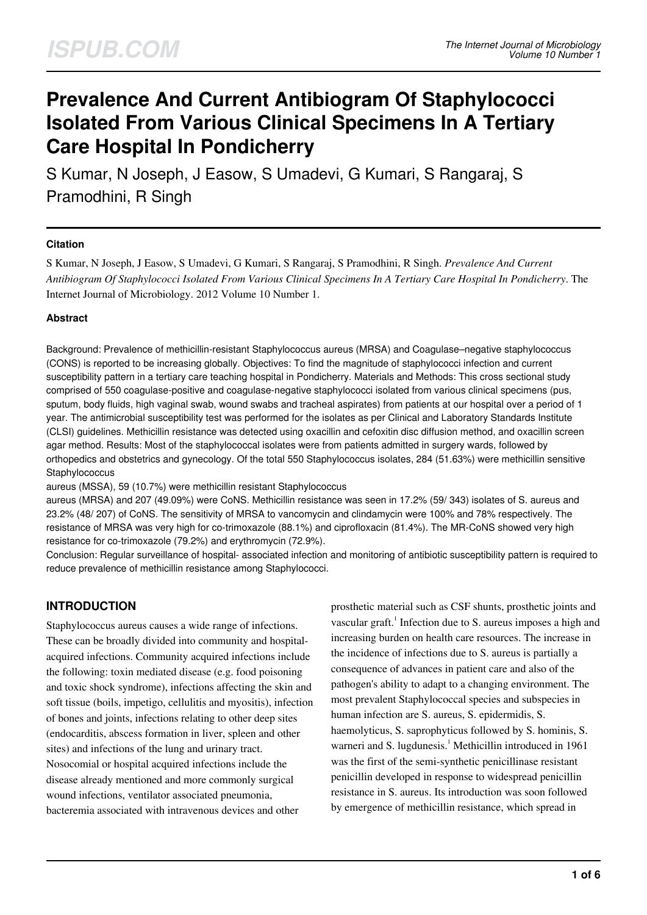# **Prevalence And Current Antibiogram Of Staphylococci Isolated From Various Clinical Specimens In A Tertiary Care Hospital In Pondicherry**

S Kumar, N Joseph, J Easow, S Umadevi, G Kumari, S Rangaraj, S Pramodhini, R Singh

## **Citation**

S Kumar, N Joseph, J Easow, S Umadevi, G Kumari, S Rangaraj, S Pramodhini, R Singh. *Prevalence And Current Antibiogram Of Staphylococci Isolated From Various Clinical Specimens In A Tertiary Care Hospital In Pondicherry*. The Internet Journal of Microbiology. 2012 Volume 10 Number 1.

## **Abstract**

Background: Prevalence of methicillin-resistant Staphylococcus aureus (MRSA) and Coagulase–negative staphylococcus (CONS) is reported to be increasing globally. Objectives: To find the magnitude of staphylococci infection and current susceptibility pattern in a tertiary care teaching hospital in Pondicherry. Materials and Methods: This cross sectional study comprised of 550 coagulase-positive and coagulase-negative staphylococci isolated from various clinical specimens (pus, sputum, body fluids, high vaginal swab, wound swabs and tracheal aspirates) from patients at our hospital over a period of 1 year. The antimicrobial susceptibility test was performed for the isolates as per Clinical and Laboratory Standards Institute (CLSI) guidelines. Methicillin resistance was detected using oxacillin and cefoxitin disc diffusion method, and oxacillin screen agar method. Results: Most of the staphylococcal isolates were from patients admitted in surgery wards, followed by orthopedics and obstetrics and gynecology. Of the total 550 Staphylococcus isolates, 284 (51.63%) were methicillin sensitive **Staphylococcus** 

aureus (MSSA), 59 (10.7%) were methicillin resistant Staphylococcus

aureus (MRSA) and 207 (49.09%) were CoNS. Methicillin resistance was seen in 17.2% (59/ 343) isolates of S. aureus and 23.2% (48/ 207) of CoNS. The sensitivity of MRSA to vancomycin and clindamycin were 100% and 78% respectively. The resistance of MRSA was very high for co-trimoxazole (88.1%) and ciprofloxacin (81.4%). The MR-CoNS showed very high resistance for co-trimoxazole (79.2%) and erythromycin (72.9%).

Conclusion: Regular surveillance of hospital- associated infection and monitoring of antibiotic susceptibility pattern is required to reduce prevalence of methicillin resistance among Staphylococci.

# **INTRODUCTION**

Staphylococcus aureus causes a wide range of infections. These can be broadly divided into community and hospitalacquired infections. Community acquired infections include the following: toxin mediated disease (e.g. food poisoning and toxic shock syndrome), infections affecting the skin and soft tissue (boils, impetigo, cellulitis and myositis), infection of bones and joints, infections relating to other deep sites (endocarditis, abscess formation in liver, spleen and other sites) and infections of the lung and urinary tract. Nosocomial or hospital acquired infections include the disease already mentioned and more commonly surgical wound infections, ventilator associated pneumonia, bacteremia associated with intravenous devices and other

prosthetic material such as CSF shunts, prosthetic joints and vascular graft.<sup>1</sup> Infection due to S. aureus imposes a high and increasing burden on health care resources. The increase in the incidence of infections due to S. aureus is partially a consequence of advances in patient care and also of the pathogen's ability to adapt to a changing environment. The most prevalent Staphylococcal species and subspecies in human infection are S. aureus, S. epidermidis, S. haemolyticus, S. saprophyticus followed by S. hominis, S. warneri and S. lugdunesis.<sup>1</sup> Methicillin introduced in 1961 was the first of the semi-synthetic penicillinase resistant penicillin developed in response to widespread penicillin resistance in S. aureus. Its introduction was soon followed by emergence of methicillin resistance, which spread in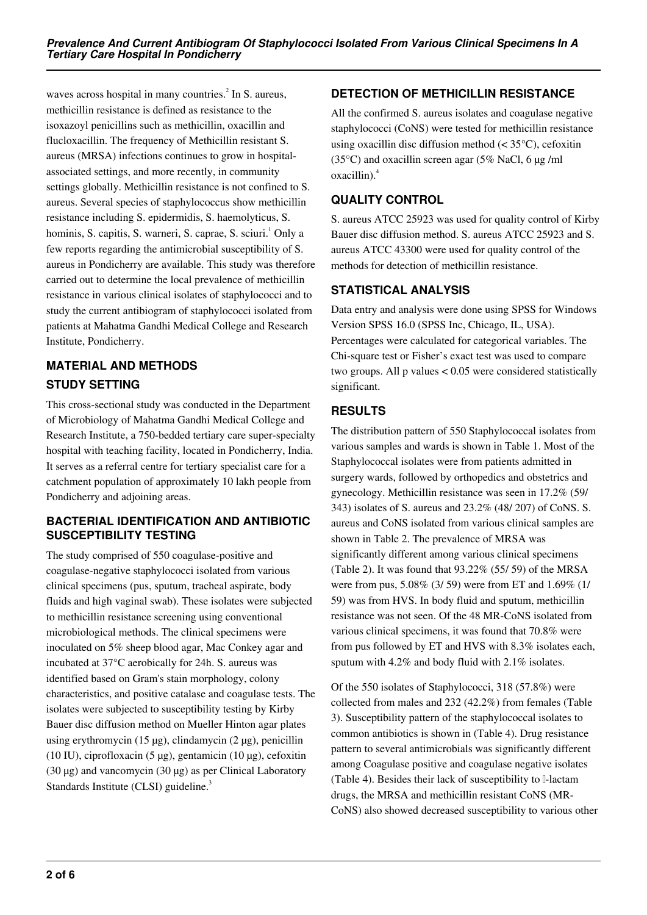waves across hospital in many countries. $^{2}$  In S. aureus, methicillin resistance is defined as resistance to the isoxazoyl penicillins such as methicillin, oxacillin and flucloxacillin. The frequency of Methicillin resistant S. aureus (MRSA) infections continues to grow in hospitalassociated settings, and more recently, in community settings globally. Methicillin resistance is not confined to S. aureus. Several species of staphylococcus show methicillin resistance including S. epidermidis, S. haemolyticus, S. hominis, S. capitis, S. warneri, S. caprae, S. sciuri.<sup>1</sup> Only a few reports regarding the antimicrobial susceptibility of S. aureus in Pondicherry are available. This study was therefore carried out to determine the local prevalence of methicillin resistance in various clinical isolates of staphylococci and to study the current antibiogram of staphylococci isolated from patients at Mahatma Gandhi Medical College and Research Institute, Pondicherry.

# **MATERIAL AND METHODS STUDY SETTING**

This cross-sectional study was conducted in the Department of Microbiology of Mahatma Gandhi Medical College and Research Institute, a 750-bedded tertiary care super-specialty hospital with teaching facility, located in Pondicherry, India. It serves as a referral centre for tertiary specialist care for a catchment population of approximately 10 lakh people from Pondicherry and adjoining areas.

# **BACTERIAL IDENTIFICATION AND ANTIBIOTIC SUSCEPTIBILITY TESTING**

The study comprised of 550 coagulase-positive and coagulase-negative staphylococci isolated from various clinical specimens (pus, sputum, tracheal aspirate, body fluids and high vaginal swab). These isolates were subjected to methicillin resistance screening using conventional microbiological methods. The clinical specimens were inoculated on 5% sheep blood agar, Mac Conkey agar and incubated at 37°C aerobically for 24h. S. aureus was identified based on Gram's stain morphology, colony characteristics, and positive catalase and coagulase tests. The isolates were subjected to susceptibility testing by Kirby Bauer disc diffusion method on Mueller Hinton agar plates using erythromycin  $(15 \mu g)$ , clindamycin  $(2 \mu g)$ , penicillin (10 IU), ciprofloxacin (5  $\mu$ g), gentamicin (10  $\mu$ g), cefoxitin (30 µg) and vancomycin (30 µg) as per Clinical Laboratory Standards Institute (CLSI) guideline.<sup>3</sup>

# **DETECTION OF METHICILLIN RESISTANCE**

All the confirmed S. aureus isolates and coagulase negative staphylococci (CoNS) were tested for methicillin resistance using oxacillin disc diffusion method (< 35°C), cefoxitin (35 $\degree$ C) and oxacillin screen agar (5% NaCl, 6 µg /ml oxacillin).<sup>4</sup>

# **QUALITY CONTROL**

S. aureus ATCC 25923 was used for quality control of Kirby Bauer disc diffusion method. S. aureus ATCC 25923 and S. aureus ATCC 43300 were used for quality control of the methods for detection of methicillin resistance.

# **STATISTICAL ANALYSIS**

Data entry and analysis were done using SPSS for Windows Version SPSS 16.0 (SPSS Inc, Chicago, IL, USA). Percentages were calculated for categorical variables. The Chi-square test or Fisher's exact test was used to compare two groups. All p values < 0.05 were considered statistically significant.

# **RESULTS**

The distribution pattern of 550 Staphylococcal isolates from various samples and wards is shown in Table 1. Most of the Staphylococcal isolates were from patients admitted in surgery wards, followed by orthopedics and obstetrics and gynecology. Methicillin resistance was seen in 17.2% (59/ 343) isolates of S. aureus and 23.2% (48/ 207) of CoNS. S. aureus and CoNS isolated from various clinical samples are shown in Table 2. The prevalence of MRSA was significantly different among various clinical specimens (Table 2). It was found that 93.22% (55/ 59) of the MRSA were from pus, 5.08% (3/ 59) were from ET and 1.69% (1/ 59) was from HVS. In body fluid and sputum, methicillin resistance was not seen. Of the 48 MR-CoNS isolated from various clinical specimens, it was found that 70.8% were from pus followed by ET and HVS with 8.3% isolates each, sputum with 4.2% and body fluid with 2.1% isolates.

Of the 550 isolates of Staphylococci, 318 (57.8%) were collected from males and 232 (42.2%) from females (Table 3). Susceptibility pattern of the staphylococcal isolates to common antibiotics is shown in (Table 4). Drug resistance pattern to several antimicrobials was significantly different among Coagulase positive and coagulase negative isolates (Table 4). Besides their lack of susceptibility to β-lactam drugs, the MRSA and methicillin resistant CoNS (MR-CoNS) also showed decreased susceptibility to various other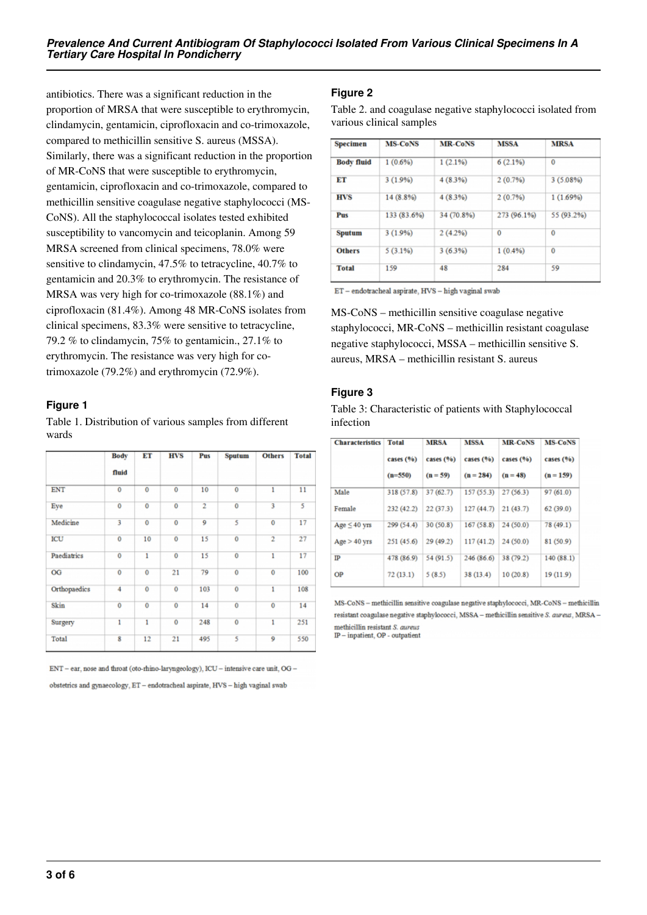antibiotics. There was a significant reduction in the proportion of MRSA that were susceptible to erythromycin, clindamycin, gentamicin, ciprofloxacin and co-trimoxazole, compared to methicillin sensitive S. aureus (MSSA). Similarly, there was a significant reduction in the proportion of MR-CoNS that were susceptible to erythromycin, gentamicin, ciprofloxacin and co-trimoxazole, compared to methicillin sensitive coagulase negative staphylococci (MS-CoNS). All the staphylococcal isolates tested exhibited susceptibility to vancomycin and teicoplanin. Among 59 MRSA screened from clinical specimens, 78.0% were sensitive to clindamycin, 47.5% to tetracycline, 40.7% to gentamicin and 20.3% to erythromycin. The resistance of MRSA was very high for co-trimoxazole (88.1%) and ciprofloxacin (81.4%). Among 48 MR-CoNS isolates from clinical specimens, 83.3% were sensitive to tetracycline, 79.2 % to clindamycin, 75% to gentamicin., 27.1% to erythromycin. The resistance was very high for cotrimoxazole (79.2%) and erythromycin (72.9%).

## **Figure 1**

Table 1. Distribution of various samples from different wards

|              | Body           | ET             | <b>HVS</b>     | Pus            | Sputum         | <b>Others</b>  | <b>Total</b> |
|--------------|----------------|----------------|----------------|----------------|----------------|----------------|--------------|
|              | fluid          |                |                |                |                |                |              |
| <b>ENT</b>   | $\bf{0}$       | $\bf{0}$       | 0              | 10             | $\bf{0}$       | 1              | 11           |
| Eye          | $\overline{0}$ | $\overline{0}$ | $\overline{0}$ | $\overline{2}$ | $\overline{0}$ | 3              | 5            |
| Medicine     | 3              | $\bf{0}$       | $\bf{0}$       | 9              | 5              | $\bf{0}$       | 17           |
| ICU          | $\mathbf 0$    | 10             | $\overline{0}$ | 15             | $\mathbf 0$    | $\overline{2}$ | 27           |
| Paediatrics  | $\bf{0}$       | ī              | $\overline{0}$ | 15             | $\bf{0}$       | 1              | 17           |
| OG           | $\bf{0}$       | 0              | 21             | 79             | $\bf{0}$       | $\mathbf 0$    | 100          |
| Orthopaedics | 4              | $\overline{0}$ | $\overline{0}$ | 103            | $\overline{0}$ | $\overline{1}$ | 108          |
| Skin         | $\overline{0}$ | $\bf{0}$       | 0              | 14             | $\bf{0}$       | $\bf{0}$       | 14           |
| Surgery      | 1              | 1              | $\overline{0}$ | 248            | $\overline{0}$ | 1              | 251          |
| <b>Total</b> | 8              | 12             | 21             | 495            | 5              | 9              | 550          |

ENT - ear, nose and throat (oto-rhino-laryngeology), ICU - intensive care unit, OG -

obstetrics and gynaecology, ET - endotracheal aspirate, HVS - high vaginal swab

## **Figure 2**

Table 2. and coagulase negative staphylococci isolated from various clinical samples

| <b>MS-CoNS</b> | <b>MR-CoNS</b> | <b>MSSA</b> | <b>MRSA</b> |  |
|----------------|----------------|-------------|-------------|--|
| 1(0.6%)        | 1(2.1%)        | 6(2.1%)     | $\bf{0}$    |  |
| 3(1.9%)        | 4(8.3%)        | 2(0.7%      | $3(5.08\%)$ |  |
| 14 (8.8%)      | 4(8.3%)        | 2(0.7%      | 1(1.69%)    |  |
| 133 (83.6%)    | 34 (70.8%)     | 273 (96.1%) | 55 (93.2%)  |  |
| 3(1.9%)        | 2(4.2%)        | 0           | 0           |  |
| $5(3.1\%)$     | 3(63%)         | 1(0.4%)     | $\bf{0}$    |  |
| 159            | 48             | 284         | 59          |  |
|                |                |             |             |  |

 $\operatorname{ET}-$ endotracheal aspirate,  $\operatorname{HVS}-$ high vaginal swab

MS-CoNS – methicillin sensitive coagulase negative staphylococci, MR-CoNS – methicillin resistant coagulase negative staphylococci, MSSA – methicillin sensitive S. aureus, MRSA – methicillin resistant S. aureus

## **Figure 3**

Table 3: Characteristic of patients with Staphylococcal infection

| <b>Characteristics</b> | <b>Total</b> | <b>MRSA</b> | <b>MSSA</b>  | <b>MR-CoNS</b> | <b>MS-CoNS</b><br>cases $(%)$ |  |
|------------------------|--------------|-------------|--------------|----------------|-------------------------------|--|
|                        | cases $(%)$  | cases (%)   | cases $(96)$ | cases $(%)$    |                               |  |
|                        | $(n=550)$    | $(n = 59)$  | $(n = 284)$  | $(n = 48)$     | $(n = 159)$                   |  |
| Male                   | 318 (57.8)   | 37(62.7)    | 157 (55.3)   | 27(56.3)       | 97(61.0)                      |  |
| Female                 | 232 (42.2)   | 22(37.3)    | 127(44.7)    | 21(43.7)       | 62(39.0)                      |  |
| Age $\leq$ 40 yrs      | 299 (54.4)   | 30(50.8)    | 167(58.8)    | 24(50.0)       | 78 (49.1)                     |  |
| $Age > 40$ yrs         | 251 (45.6)   | 29 (49.2)   | 117 (41.2)   | 24 (50.0)      | 81 (50.9)                     |  |
| IP                     | 478 (86.9)   | 54 (91.5)   | 246 (86.6)   | 38 (79.2)      | 140(88.1)                     |  |
| <b>OP</b>              | 72(13.1)     | 5(8.5)      | 38 (13.4)    | 10(20.8)       | 19(11.9)                      |  |

MS-CoNS - methicillin sensitive coagulase negative staphylococci, MR-CoNS - methicillin resistant coagulase negative staphylococci, MSSA - methicillin sensitive S. aureus, MRSA methicillin resistant S. aureus

IP - inpatient, OP - outpatient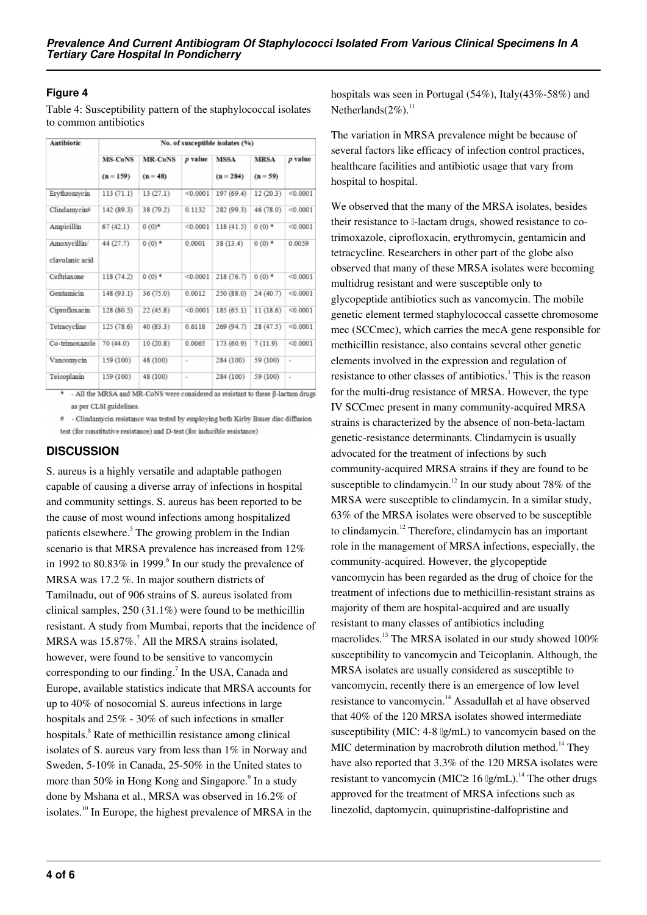## **Figure 4**

Table 4: Susceptibility pattern of the staphylococcal isolates to common antibiotics

| <b>Antibiotic</b>               | No. of susceptible isolates (%) |                |                |             |                     |                |  |  |
|---------------------------------|---------------------------------|----------------|----------------|-------------|---------------------|----------------|--|--|
|                                 | <b>MS-CoNS</b>                  | <b>MR-CoNS</b> | p value        | <b>MSSA</b> | <b>MRSA</b>         | p value        |  |  |
|                                 | $(n = 159)$                     | $(n = 48)$     |                | $(n = 284)$ | $(n = 59)$          |                |  |  |
| Erythromycin                    | 113(71.1)                       | 13(27.1)       | < 0.0001       | 197 (69.4)  | 12(20.3)            | < 0.0001       |  |  |
| Clindamycin#                    | 142 (89.3)                      | 38 (79.2)      | 0.1132         | 282 (99.3)  | 46 (78.0)           | < 0.0001       |  |  |
| Ampicillin                      | 67(42.1)                        | $0(0)^*$       | < 0.0001       | 118(41.5)   | $0(0)$ *            | < 0.0001       |  |  |
| Amoxycillin/<br>clavulanic acid | 44 (27.7)                       | $0(0)*$        | 0.0001         | 38 (13.4)   | $0(0)*$             | 0.0059         |  |  |
| Ceftriaxone                     | 118 (74.2)                      | $0(0)$ *       | < 0.0001       | 218 (76.7)  | $0(0)$ <sup>*</sup> | < 0.0001       |  |  |
| Gentamicin                      | 148 (93.1)                      | 36(75.0)       | 0.0012         | 250 (88.0)  | 24 (40.7)           | < 0.0001       |  |  |
| Ciprofloxacin                   | 128 (80.5)                      | 22(45.8)       | < 0.0001       | 185 (65.1)  | 11(18.6)            | < 0.0001       |  |  |
| Tetracycline                    | 125 (78.6)                      | 40(83.3)       | 0.6118         | 269 (94.7)  | 28 (47.5)           | < 0.0001       |  |  |
| Co-trimoxazole                  | 70 (44.0)                       | 10(20.8)       | 0.0065         | 173 (60.9)  | 7(11.9)             | < 0.0001       |  |  |
| Vancomycin                      | 159 (100)                       | 48 (100)       | $\overline{a}$ | 284 (100)   | 59 (100)            | $\overline{a}$ |  |  |
| Teicoplanin                     | 159 (100)                       | 48 (100)       | ٠              | 284 (100)   | 59 (100)            | ٠              |  |  |

 $*$  - All the MRSA and MR-CoNS were considered as resistant to these  $\beta$ -lactam drugs as per CLSI guidelines

# - Clindamycin resistance was tested by employing both Kirby Bauer disc diffusion test (for constitutive resistance) and D-test (for inducible resistance)

## **DISCUSSION**

S. aureus is a highly versatile and adaptable pathogen capable of causing a diverse array of infections in hospital and community settings. S. aureus has been reported to be the cause of most wound infections among hospitalized patients elsewhere.<sup>5</sup> The growing problem in the Indian scenario is that MRSA prevalence has increased from 12% in 1992 to 80.83% in 1999. $\degree$  In our study the prevalence of MRSA was 17.2 %. In major southern districts of Tamilnadu, out of 906 strains of S. aureus isolated from clinical samples, 250 (31.1%) were found to be methicillin resistant. A study from Mumbai, reports that the incidence of MRSA was  $15.87\%$ .<sup>7</sup> All the MRSA strains isolated, however, were found to be sensitive to vancomycin corresponding to our finding.<sup>7</sup> In the USA, Canada and Europe, available statistics indicate that MRSA accounts for up to 40% of nosocomial S. aureus infections in large hospitals and 25% - 30% of such infections in smaller hospitals.<sup>8</sup> Rate of methicillin resistance among clinical isolates of S. aureus vary from less than 1% in Norway and Sweden, 5-10% in Canada, 25-50% in the United states to more than 50% in Hong Kong and Singapore.<sup>9</sup> In a study done by Mshana et al., MRSA was observed in 16.2% of isolates.<sup>10</sup> In Europe, the highest prevalence of MRSA in the

hospitals was seen in Portugal (54%), Italy(43%-58%) and Netherlands $(2\%)$ .<sup>11</sup>

The variation in MRSA prevalence might be because of several factors like efficacy of infection control practices, healthcare facilities and antibiotic usage that vary from hospital to hospital.

We observed that the many of the MRSA isolates, besides their resistance to *β*-lactam drugs, showed resistance to cotrimoxazole, ciprofloxacin, erythromycin, gentamicin and tetracycline. Researchers in other part of the globe also observed that many of these MRSA isolates were becoming multidrug resistant and were susceptible only to glycopeptide antibiotics such as vancomycin. The mobile genetic element termed staphylococcal cassette chromosome mec (SCCmec), which carries the mecA gene responsible for methicillin resistance, also contains several other genetic elements involved in the expression and regulation of resistance to other classes of antibiotics.<sup>1</sup> This is the reason for the multi-drug resistance of MRSA. However, the type IV SCCmec present in many community-acquired MRSA strains is characterized by the absence of non-beta-lactam genetic-resistance determinants. Clindamycin is usually advocated for the treatment of infections by such community-acquired MRSA strains if they are found to be susceptible to clindamycin.<sup>12</sup> In our study about 78% of the MRSA were susceptible to clindamycin. In a similar study, 63% of the MRSA isolates were observed to be susceptible to clindamycin.<sup>12</sup> Therefore, clindamycin has an important role in the management of MRSA infections, especially, the community-acquired. However, the glycopeptide vancomycin has been regarded as the drug of choice for the treatment of infections due to methicillin-resistant strains as majority of them are hospital-acquired and are usually resistant to many classes of antibiotics including macrolides.<sup>13</sup> The MRSA isolated in our study showed  $100\%$ susceptibility to vancomycin and Teicoplanin. Although, the MRSA isolates are usually considered as susceptible to vancomycin, recently there is an emergence of low level resistance to vancomycin.<sup>14</sup> Assadullah et al have observed that 40% of the 120 MRSA isolates showed intermediate susceptibility (MIC: 4-8 μg/mL) to vancomycin based on the MIC determination by macrobroth dilution method.<sup>14</sup> They have also reported that 3.3% of the 120 MRSA isolates were resistant to vancomycin (MIC≥ 16  $\lg/mL$ ).<sup>14</sup> The other drugs approved for the treatment of MRSA infections such as linezolid, daptomycin, quinupristine-dalfopristine and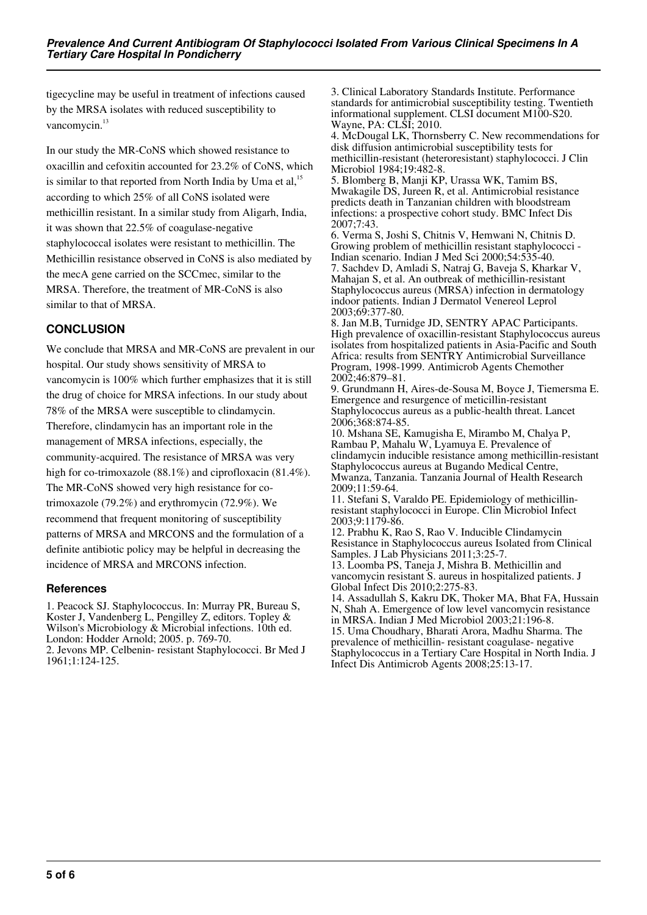tigecycline may be useful in treatment of infections caused by the MRSA isolates with reduced susceptibility to vancomycin.<sup>13</sup>

In our study the MR-CoNS which showed resistance to oxacillin and cefoxitin accounted for 23.2% of CoNS, which is similar to that reported from North India by Uma et al, $^{15}$ according to which 25% of all CoNS isolated were methicillin resistant. In a similar study from Aligarh, India, it was shown that 22.5% of coagulase-negative staphylococcal isolates were resistant to methicillin. The Methicillin resistance observed in CoNS is also mediated by the mecA gene carried on the SCCmec, similar to the MRSA. Therefore, the treatment of MR-CoNS is also similar to that of MRSA.

## **CONCLUSION**

We conclude that MRSA and MR-CoNS are prevalent in our hospital. Our study shows sensitivity of MRSA to vancomycin is 100% which further emphasizes that it is still the drug of choice for MRSA infections. In our study about 78% of the MRSA were susceptible to clindamycin. Therefore, clindamycin has an important role in the management of MRSA infections, especially, the community-acquired. The resistance of MRSA was very high for co-trimoxazole (88.1%) and ciprofloxacin (81.4%). The MR-CoNS showed very high resistance for cotrimoxazole (79.2%) and erythromycin (72.9%). We recommend that frequent monitoring of susceptibility patterns of MRSA and MRCONS and the formulation of a definite antibiotic policy may be helpful in decreasing the incidence of MRSA and MRCONS infection.

#### **References**

1. Peacock SJ. Staphylococcus. In: Murray PR, Bureau S, Koster J, Vandenberg L, Pengilley Z, editors. Topley & Wilson's Microbiology & Microbial infections. 10th ed. London: Hodder Arnold; 2005. p. 769-70. 2. Jevons MP. Celbenin- resistant Staphylococci. Br Med J 1961;1:124-125.

3. Clinical Laboratory Standards Institute. Performance standards for antimicrobial susceptibility testing. Twentieth informational supplement. CLSI document M100-S20. Wayne, PA: CLSI; 2010.

4. McDougal LK, Thornsberry C. New recommendations for disk diffusion antimicrobial susceptibility tests for methicillin-resistant (heteroresistant) staphylococci. J Clin Microbiol 1984;19:482-8.

5. Blomberg B, Manji KP, Urassa WK, Tamim BS, Mwakagile DS, Jureen R, et al. Antimicrobial resistance predicts death in Tanzanian children with bloodstream infections: a prospective cohort study. BMC Infect Dis 2007;7:43.

6. Verma S, Joshi S, Chitnis V, Hemwani N, Chitnis D. Growing problem of methicillin resistant staphylococci - Indian scenario. Indian J Med Sci 2000;54:535-40. 7. Sachdev D, Amladi S, Natraj G, Baveja S, Kharkar V, Mahajan S, et al. An outbreak of methicillin-resistant Staphylococcus aureus (MRSA) infection in dermatology indoor patients. Indian J Dermatol Venereol Leprol 2003;69:377-80.

8. Jan M.B, Turnidge JD, SENTRY APAC Participants. High prevalence of oxacillin-resistant Staphylococcus aureus isolates from hospitalized patients in Asia-Pacific and South Africa: results from SENTRY Antimicrobial Surveillance Program, 1998-1999. Antimicrob Agents Chemother 2002;46:879–81.

9. Grundmann H, Aires-de-Sousa M, Boyce J, Tiemersma E. Emergence and resurgence of meticillin-resistant Staphylococcus aureus as a public-health threat. Lancet 2006;368:874-85.

10. Mshana SE, Kamugisha E, Mirambo M, Chalya P, Rambau P, Mahalu W, Lyamuya E. Prevalence of clindamycin inducible resistance among methicillin-resistant Staphylococcus aureus at Bugando Medical Centre, Mwanza, Tanzania. Tanzania Journal of Health Research 2009;11:59-64.

11. Stefani S, Varaldo PE. Epidemiology of methicillinresistant staphylococci in Europe. Clin Microbiol Infect 2003;9:1179-86.

12. Prabhu K, Rao S, Rao V. Inducible Clindamycin Resistance in Staphylococcus aureus Isolated from Clinical Samples. J Lab Physicians 2011;3:25-7.

13. Loomba PS, Taneja J, Mishra B. Methicillin and vancomycin resistant S. aureus in hospitalized patients. J Global Infect Dis 2010;2:275-83.

14. Assadullah S, Kakru DK, Thoker MA, Bhat FA, Hussain N, Shah A. Emergence of low level vancomycin resistance in MRSA. Indian J Med Microbiol 2003;21:196-8. 15. Uma Choudhary, Bharati Arora, Madhu Sharma. The prevalence of methicillin- resistant coagulase- negative Staphylococcus in a Tertiary Care Hospital in North India. J Infect Dis Antimicrob Agents 2008;25:13-17.